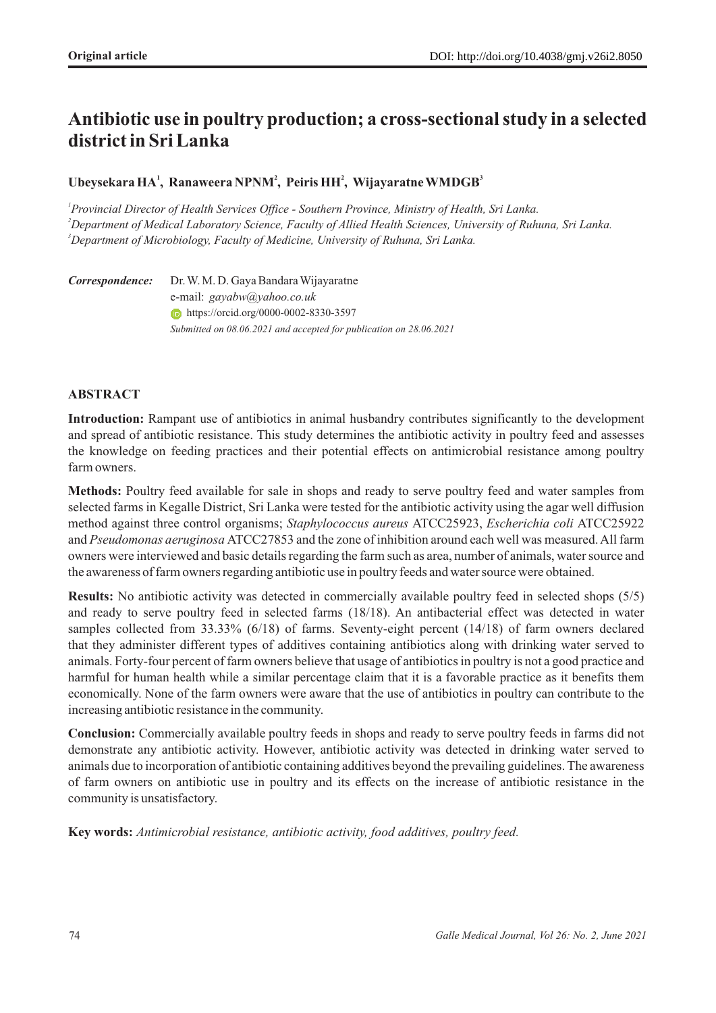# **Antibiotic use in poultry production; a cross-sectional study in a selected district in Sri Lanka**

# $\bf{U}$ beysekara  $\bf{H} \bf{A}$ <sup>1</sup>, Ranaweera NPNM<sup>2</sup>, Peiris  $\bf{H} \bf{H}$ <sup>2</sup>, Wijayaratne WMDGB<sup>3</sup>

<sup>1</sup> Provincial Director of Health Services Office - Southern Province, Ministry of Health, Sri Lanka. *<sup>2</sup>Department of Medical Laboratory Science, Faculty of Allied Health Sciences, University of Ruhuna, Sri Lanka. <sup>3</sup>Department of Microbiology, Faculty of Medicine, University of Ruhuna, Sri Lanka.*

*Correspondence:*Dr. W. M. D. Gaya Bandara Wijayaratne e-mail: *gayabw@yahoo.co.uk*  https://orcid.org/0000-0002-8330-3597 Submitted on 08.06.2021 and accepted for publication on 28.06.2021

# **ABSTRACT**

**Introduction:** Rampant use of antibiotics in animal husbandry contributes significantly to the development and spread of antibiotic resistance. This study determines the antibiotic activity in poultry feed and assesses the knowledge on feeding practices and their potential effects on antimicrobial resistance among poultry farm owners.

**Methods:** Poultry feed available for sale in shops and ready to serve poultry feed and water samples from selected farms in Kegalle District, Sri Lanka were tested for the antibiotic activity using the agar well diffusion method against three control organisms; *Staphylococcus aureus* ATCC25923, *Escherichia coli* ATCC25922 and *Pseudomonas aeruginosa* ATCC27853 and the zone of inhibition around each well was measured. All farm owners were interviewed and basic details regarding the farm such as area, number of animals, water source and the awareness of farm owners regarding antibiotic use in poultry feeds and water source were obtained.

**Results:** No antibiotic activity was detected in commercially available poultry feed in selected shops (5/5) and ready to serve poultry feed in selected farms (18/18). An antibacterial effect was detected in water samples collected from 33.33% (6/18) of farms. Seventy-eight percent (14/18) of farm owners declared that they administer different types of additives containing antibiotics along with drinking water served to animals. Forty-four percent of farm owners believe that usage of antibiotics in poultry is not a good practice and harmful for human health while a similar percentage claim that it is a favorable practice as it benefits them economically. None of the farm owners were aware that the use of antibiotics in poultry can contribute to the increasing antibiotic resistance in the community.

**Conclusion:** Commercially available poultry feeds in shops and ready to serve poultry feeds in farms did not demonstrate any antibiotic activity. However, antibiotic activity was detected in drinking water served to animals due to incorporation of antibiotic containing additives beyond the prevailing guidelines. The awareness of farm owners on antibiotic use in poultry and its effects on the increase of antibiotic resistance in the community is unsatisfactory.

**Key words:** *Antimicrobial resistance, antibiotic activity, food additives, poultry feed.*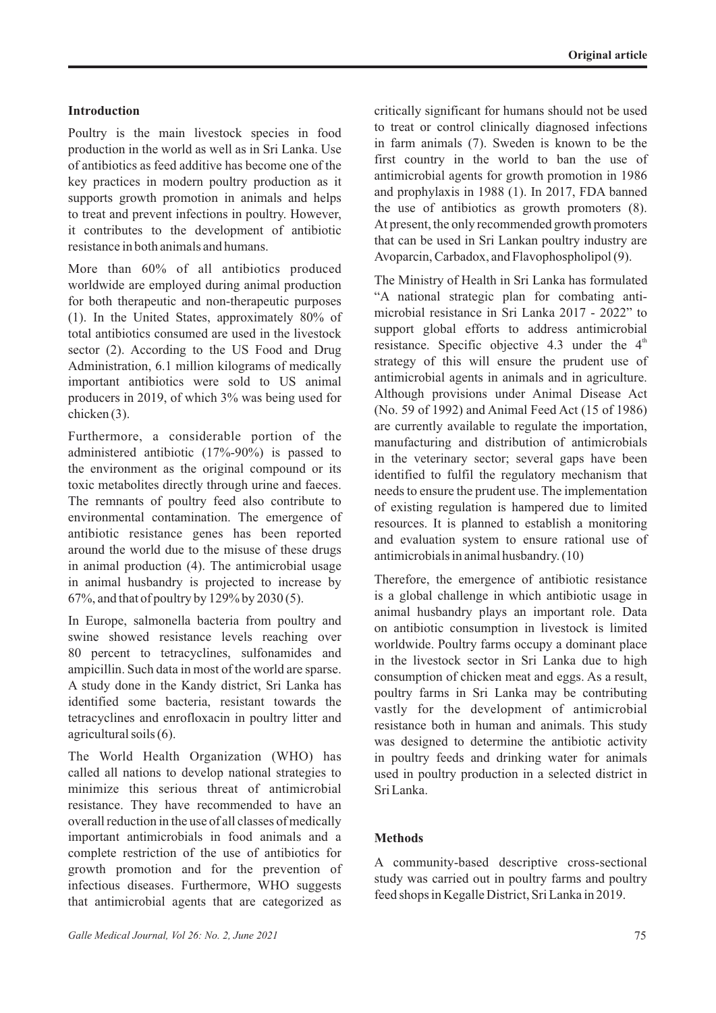### **Introduction**

Poultry is the main livestock species in food production in the world as well as in Sri Lanka. Use of antibiotics as feed additive has become one of the key practices in modern poultry production as it supports growth promotion in animals and helps to treat and prevent infections in poultry. However, it contributes to the development of antibiotic resistance in both animals and humans.

More than 60% of all antibiotics produced worldwide are employed during animal production for both therapeutic and non-therapeutic purposes (1). In the United States, approximately 80% of total antibiotics consumed are used in the livestock sector (2). According to the US Food and Drug Administration, 6.1 million kilograms of medically important antibiotics were sold to US animal producers in 2019, of which 3% was being used for chicken (3).

Furthermore, a considerable portion of the administered antibiotic (17%-90%) is passed to the environment as the original compound or its toxic metabolites directly through urine and faeces. The remnants of poultry feed also contribute to environmental contamination. The emergence of antibiotic resistance genes has been reported around the world due to the misuse of these drugs in animal production (4). The antimicrobial usage in animal husbandry is projected to increase by 67%, and that of poultry by 129% by 2030 (5).

In Europe, salmonella bacteria from poultry and swine showed resistance levels reaching over 80 percent to tetracyclines, sulfonamides and ampicillin. Such data in most of the world are sparse. A study done in the Kandy district, Sri Lanka has identified some bacteria, resistant towards the tetracyclines and enrofloxacin in poultry litter and agricultural soils (6).

The World Health Organization (WHO) has called all nations to develop national strategies to minimize this serious threat of antimicrobial resistance. They have recommended to have an overall reduction in the use of all classes of medically important antimicrobials in food animals and a complete restriction of the use of antibiotics for growth promotion and for the prevention of infectious diseases. Furthermore, WHO suggests that antimicrobial agents that are categorized as

critically significant for humans should not be used to treat or control clinically diagnosed infections in farm animals (7). Sweden is known to be the first country in the world to ban the use of antimicrobial agents for growth promotion in 1986 and prophylaxis in 1988 (1). In 2017, FDA banned the use of antibiotics as growth promoters (8). At present, the only recommended growth promoters that can be used in Sri Lankan poultry industry are Avoparcin, Carbadox, and Flavophospholipol (9).

The Ministry of Health in Sri Lanka has formulated "A national strategic plan for combating antimicrobial resistance in Sri Lanka 2017 - 2022" to support global efforts to address antimicrobial resistance. Specific objective 4.3 under the  $4<sup>th</sup>$ strategy of this will ensure the prudent use of antimicrobial agents in animals and in agriculture. Although provisions under Animal Disease Act (No. 59 of 1992) and Animal Feed Act (15 of 1986) are currently available to regulate the importation, manufacturing and distribution of antimicrobials in the veterinary sector; several gaps have been identified to fulfil the regulatory mechanism that needs to ensure the prudent use. The implementation of existing regulation is hampered due to limited resources. It is planned to establish a monitoring and evaluation system to ensure rational use of antimicrobials in animal husbandry. (10)

Therefore, the emergence of antibiotic resistance is a global challenge in which antibiotic usage in animal husbandry plays an important role. Data on antibiotic consumption in livestock is limited worldwide. Poultry farms occupy a dominant place in the livestock sector in Sri Lanka due to high consumption of chicken meat and eggs. As a result, poultry farms in Sri Lanka may be contributing vastly for the development of antimicrobial resistance both in human and animals. This study was designed to determine the antibiotic activity in poultry feeds and drinking water for animals used in poultry production in a selected district in Sri Lanka.

#### **Methods**

A community-based descriptive cross-sectional study was carried out in poultry farms and poultry feed shops in Kegalle District, Sri Lanka in 2019.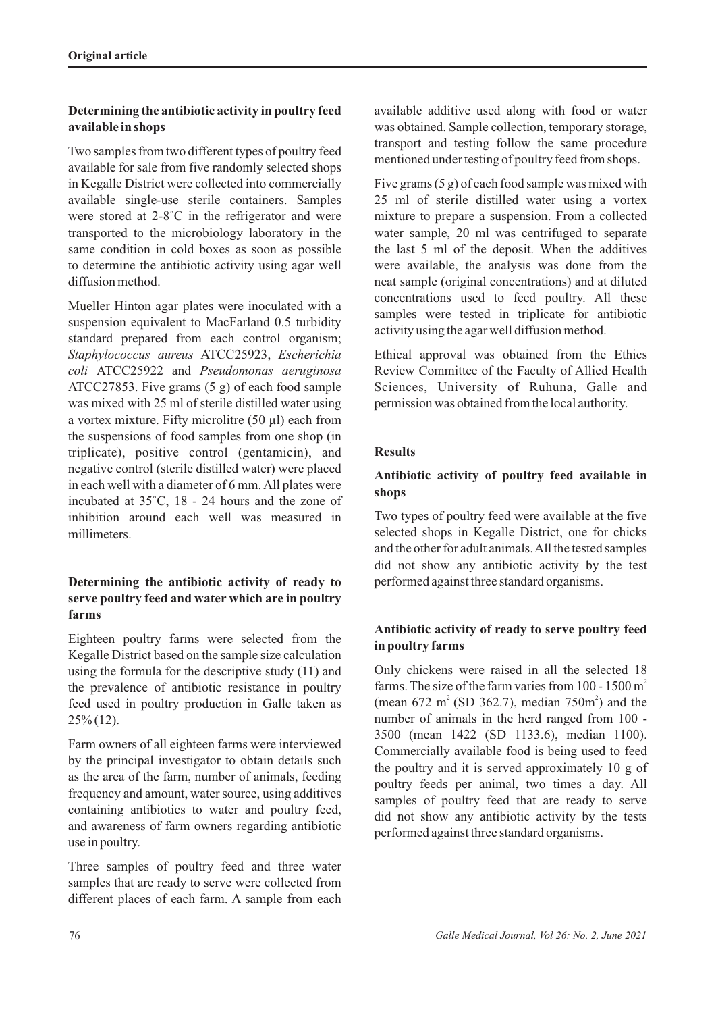# **Determining the antibiotic activity in poultry feed available in shops**

Two samples from two different types of poultry feed available for sale from five randomly selected shops in Kegalle District were collected into commercially available single-use sterile containers. Samples were stored at 2-8˚C in the refrigerator and were transported to the microbiology laboratory in the same condition in cold boxes as soon as possible to determine the antibiotic activity using agar well diffusion method.

Mueller Hinton agar plates were inoculated with a suspension equivalent to MacFarland 0.5 turbidity standard prepared from each control organism; *Staphylococcus aureus* ATCC25923, *Escherichia coli* ATCC25922 and *Pseudomonas aeruginosa*  ATCC27853. Five grams (5 g) of each food sample was mixed with 25 ml of sterile distilled water using a vortex mixture. Fifty microlitre (50 µl) each from the suspensions of food samples from one shop (in triplicate), positive control (gentamicin), and negative control (sterile distilled water) were placed in each well with a diameter of 6 mm. All plates were incubated at 35˚C, 18 - 24 hours and the zone of inhibition around each well was measured in millimeters.

# **Determining the antibiotic activity of ready to serve poultry feed and water which are in poultry farms**

Eighteen poultry farms were selected from the Kegalle District based on the sample size calculation using the formula for the descriptive study (11) and the prevalence of antibiotic resistance in poultry feed used in poultry production in Galle taken as 25% (12).

Farm owners of all eighteen farms were interviewed by the principal investigator to obtain details such as the area of the farm, number of animals, feeding frequency and amount, water source, using additives containing antibiotics to water and poultry feed, and awareness of farm owners regarding antibiotic use in poultry.

Three samples of poultry feed and three water samples that are ready to serve were collected from different places of each farm. A sample from each available additive used along with food or water was obtained. Sample collection, temporary storage, transport and testing follow the same procedure mentioned under testing of poultry feed from shops.

Five grams (5 g) of each food sample was mixed with 25 ml of sterile distilled water using a vortex mixture to prepare a suspension. From a collected water sample, 20 ml was centrifuged to separate the last 5 ml of the deposit. When the additives were available, the analysis was done from the neat sample (original concentrations) and at diluted concentrations used to feed poultry. All these samples were tested in triplicate for antibiotic activity using the agar well diffusion method.

Ethical approval was obtained from the Ethics Review Committee of the Faculty of Allied Health Sciences, University of Ruhuna, Galle and permission was obtained from the local authority.

# **Results**

# **Antibiotic activity of poultry feed available in shops**

Two types of poultry feed were available at the five selected shops in Kegalle District, one for chicks and the other for adult animals. All the tested samples did not show any antibiotic activity by the test performed against three standard organisms.

# **Antibiotic activity of ready to serve poultry feed in poultry farms**

Only chickens were raised in all the selected 18 farms. The size of the farm varies from 100 - 1500  $m<sup>2</sup>$ (mean 672 m<sup>2</sup> (SD 362.7), median 750m<sup>2</sup>) and the number of animals in the herd ranged from 100 - 3500 (mean 1422 (SD 1133.6), median 1100). Commercially available food is being used to feed the poultry and it is served approximately 10 g of poultry feeds per animal, two times a day. All samples of poultry feed that are ready to serve did not show any antibiotic activity by the tests performed against three standard organisms.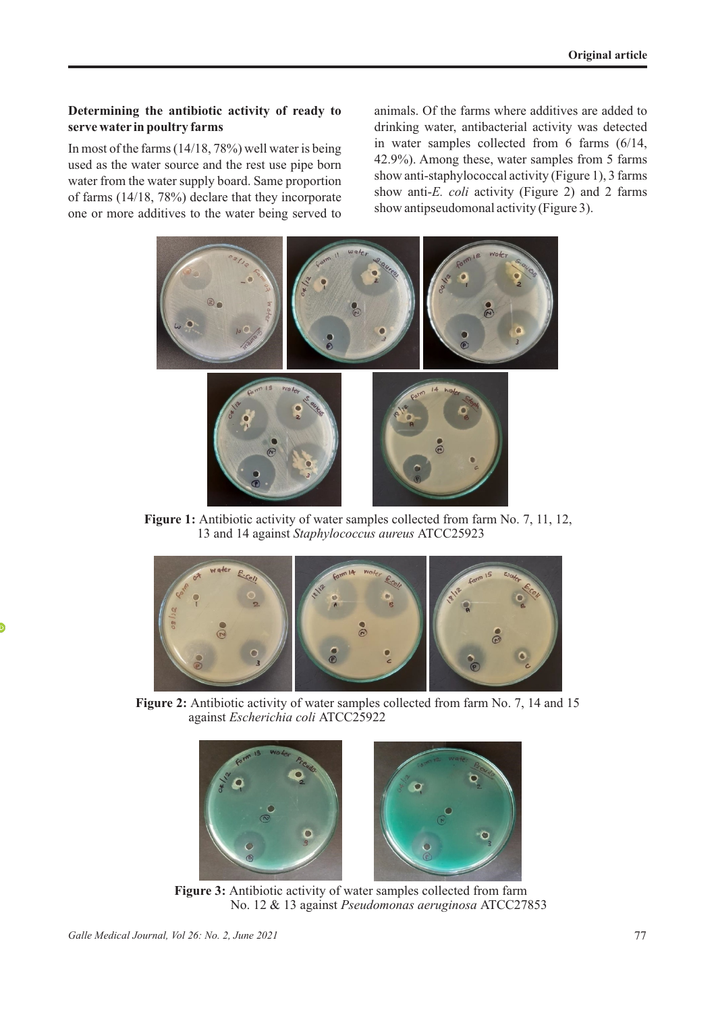### **Determining the antibiotic activity of ready to serve water in poultry farms**

In most of the farms (14/18, 78%) well water is being used as the water source and the rest use pipe born water from the water supply board. Same proportion of farms (14/18, 78%) declare that they incorporate one or more additives to the water being served to

animals. Of the farms where additives are added to drinking water, antibacterial activity was detected in water samples collected from 6 farms (6/14, 42.9%). Among these, water samples from 5 farms show anti-staphylococcal activity (Figure 1), 3 farms show anti-*E. coli* activity (Figure 2) and 2 farms show antipseudomonal activity (Figure 3).



**Figure 1:** Antibiotic activity of water samples collected from farm No. 7, 11, 12, 13 and 14 against *Staphylococcus aureus* ATCC25923



**Figure 2:** Antibiotic activity of water samples collected from farm No. 7, 14 and 15 against *Escherichia coli* ATCC25922



**Figure 3:** Antibiotic activity of water samples collected from farm No. 12 & 13 against *Pseudomonas aeruginosa* ATCC27853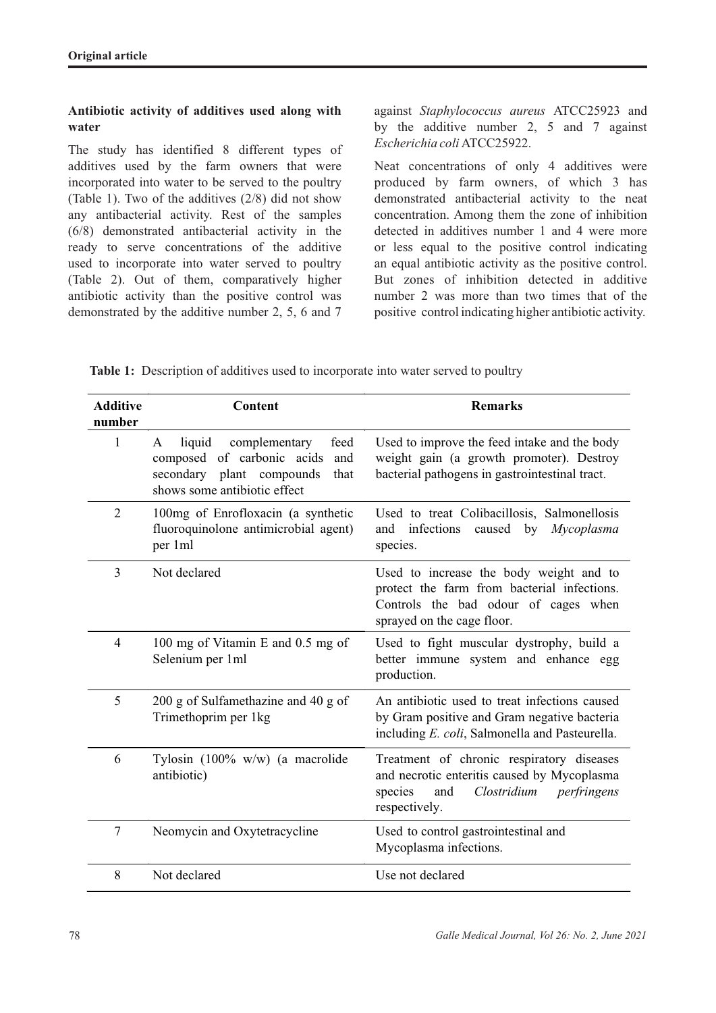### **Antibiotic activity of additives used along with water**

The study has identified 8 different types of additives used by the farm owners that were incorporated into water to be served to the poultry (Table 1). Two of the additives (2/8) did not show any antibacterial activity. Rest of the samples (6/8) demonstrated antibacterial activity in the ready to serve concentrations of the additive used to incorporate into water served to poultry (Table 2). Out of them, comparatively higher antibiotic activity than the positive control was demonstrated by the additive number 2, 5, 6 and 7

against *Staphylococcus aureus* ATCC25923 and by the additive number 2, 5 and 7 against *Escherichia coli* ATCC25922.

Neat concentrations of only 4 additives were produced by farm owners, of which 3 has demonstrated antibacterial activity to the neat concentration. Among them the zone of inhibition detected in additives number 1 and 4 were more or less equal to the positive control indicating an equal antibiotic activity as the positive control. But zones of inhibition detected in additive number 2 was more than two times that of the positive control indicating higher antibiotic activity.

**Table 1:** Description of additives used to incorporate into water served to poultry

| <b>Additive</b><br>number | Content                                                                                                                                        | <b>Remarks</b>                                                                                                                                               |  |  |
|---------------------------|------------------------------------------------------------------------------------------------------------------------------------------------|--------------------------------------------------------------------------------------------------------------------------------------------------------------|--|--|
| 1                         | complementary<br>liquid<br>feed<br>A<br>composed of carbonic acids<br>and<br>secondary plant compounds<br>that<br>shows some antibiotic effect | Used to improve the feed intake and the body<br>weight gain (a growth promoter). Destroy<br>bacterial pathogens in gastrointestinal tract.                   |  |  |
| $\overline{2}$            | 100mg of Enrofloxacin (a synthetic<br>fluoroquinolone antimicrobial agent)<br>per 1ml                                                          | Used to treat Colibacillosis, Salmonellosis<br>infections<br>caused by<br>Mycoplasma<br>and<br>species.                                                      |  |  |
| 3                         | Not declared                                                                                                                                   | Used to increase the body weight and to<br>protect the farm from bacterial infections.<br>Controls the bad odour of cages when<br>sprayed on the cage floor. |  |  |
| 4                         | 100 mg of Vitamin E and 0.5 mg of<br>Selenium per 1ml                                                                                          | Used to fight muscular dystrophy, build a<br>better immune system and enhance egg<br>production.                                                             |  |  |
| 5                         | 200 g of Sulfamethazine and 40 g of<br>Trimethoprim per 1kg                                                                                    | An antibiotic used to treat infections caused<br>by Gram positive and Gram negative bacteria<br>including E. coli, Salmonella and Pasteurella.               |  |  |
| 6                         | Tylosin (100% w/w) (a macrolide<br>antibiotic)                                                                                                 | Treatment of chronic respiratory diseases<br>and necrotic enteritis caused by Mycoplasma<br>Clostridium<br>species<br>perfringens<br>and<br>respectively.    |  |  |
| $\tau$                    | Neomycin and Oxytetracycline                                                                                                                   | Used to control gastrointestinal and<br>Mycoplasma infections.                                                                                               |  |  |
| 8                         | Not declared                                                                                                                                   | Use not declared                                                                                                                                             |  |  |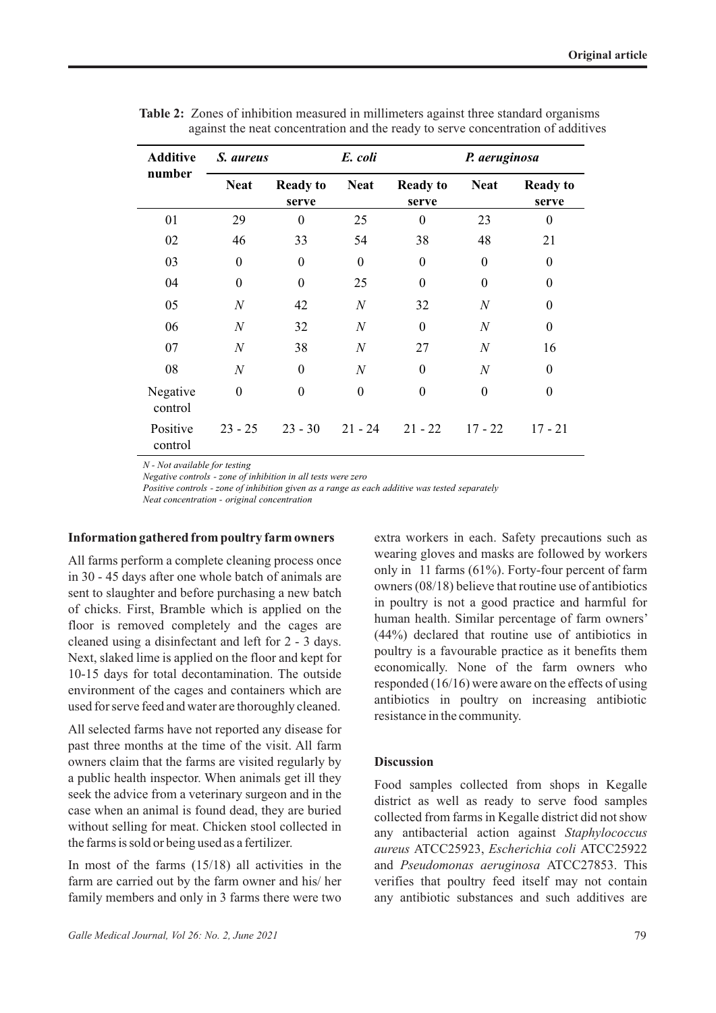| <b>Additive</b>     | S. aureus        |                          | E. coli          |                          | P. aeruginosa    |                          |
|---------------------|------------------|--------------------------|------------------|--------------------------|------------------|--------------------------|
| number              | <b>Neat</b>      | <b>Ready to</b><br>serve | <b>Neat</b>      | <b>Ready to</b><br>serve | <b>Neat</b>      | <b>Ready to</b><br>serve |
| 01                  | 29               | $\overline{0}$           | 25               | $\overline{0}$           | 23               | $\boldsymbol{0}$         |
| 02                  | 46               | 33                       | 54               | 38                       | 48               | 21                       |
| 03                  | $\boldsymbol{0}$ | $\boldsymbol{0}$         | $\mathbf{0}$     | $\overline{0}$           | $\mathbf{0}$     | $\boldsymbol{0}$         |
| 04                  | $\boldsymbol{0}$ | $\mathbf{0}$             | 25               | $\overline{0}$           | $\mathbf{0}$     | $\boldsymbol{0}$         |
| 05                  | $\boldsymbol{N}$ | 42                       | $\boldsymbol{N}$ | 32                       | $\boldsymbol{N}$ | $\boldsymbol{0}$         |
| 06                  | $\boldsymbol{N}$ | 32                       | $\overline{N}$   | $\theta$                 | $\boldsymbol{N}$ | $\mathbf{0}$             |
| 07                  | $\boldsymbol{N}$ | 38                       | $\boldsymbol{N}$ | 27                       | $\boldsymbol{N}$ | 16                       |
| 08                  | $\boldsymbol{N}$ | $\theta$                 | $\boldsymbol{N}$ | $\overline{0}$           | $\boldsymbol{N}$ | $\theta$                 |
| Negative<br>control | $\boldsymbol{0}$ | $\boldsymbol{0}$         | $\overline{0}$   | $\overline{0}$           | $\overline{0}$   | $\mathbf{0}$             |
| Positive<br>control | $23 - 25$        | $23 - 30$                | $21 - 24$        | $21 - 22$                | $17 - 22$        | $17 - 21$                |

**Table 2:** Zones of inhibition measured in millimeters against three standard organisms against the neat concentration and the ready to serve concentration of additives

*N - Not available for testing*

*Negative controls - zone of inhibition in all tests were zero*

*Positive controls - zone of inhibition given as a range as each additive was tested separately Neat concentration - original concentration* 

#### **Information gathered from poultry farm owners**

All farms perform a complete cleaning process once in 30 - 45 days after one whole batch of animals are sent to slaughter and before purchasing a new batch of chicks. First, Bramble which is applied on the floor is removed completely and the cages are cleaned using a disinfectant and left for 2 - 3 days. Next, slaked lime is applied on the floor and kept for 10-15 days for total decontamination. The outside environment of the cages and containers which are used for serve feed and water are thoroughly cleaned.

All selected farms have not reported any disease for past three months at the time of the visit. All farm owners claim that the farms are visited regularly by a public health inspector. When animals get ill they seek the advice from a veterinary surgeon and in the case when an animal is found dead, they are buried without selling for meat. Chicken stool collected in the farms is sold or being used as a fertilizer.

In most of the farms (15/18) all activities in the farm are carried out by the farm owner and his/ her family members and only in 3 farms there were two extra workers in each. Safety precautions such as wearing gloves and masks are followed by workers only in 11 farms (61%). Forty-four percent of farm owners (08/18) believe that routine use of antibiotics in poultry is not a good practice and harmful for human health. Similar percentage of farm owners' (44%) declared that routine use of antibiotics in poultry is a favourable practice as it benefits them economically. None of the farm owners who responded (16/16) were aware on the effects of using antibiotics in poultry on increasing antibiotic resistance in the community.

#### **Discussion**

Food samples collected from shops in Kegalle district as well as ready to serve food samples collected from farms in Kegalle district did not show any antibacterial action against *Staphylococcus aureus* ATCC25923, *Escherichia coli* ATCC25922 and *Pseudomonas aeruginosa* ATCC27853. This verifies that poultry feed itself may not contain any antibiotic substances and such additives are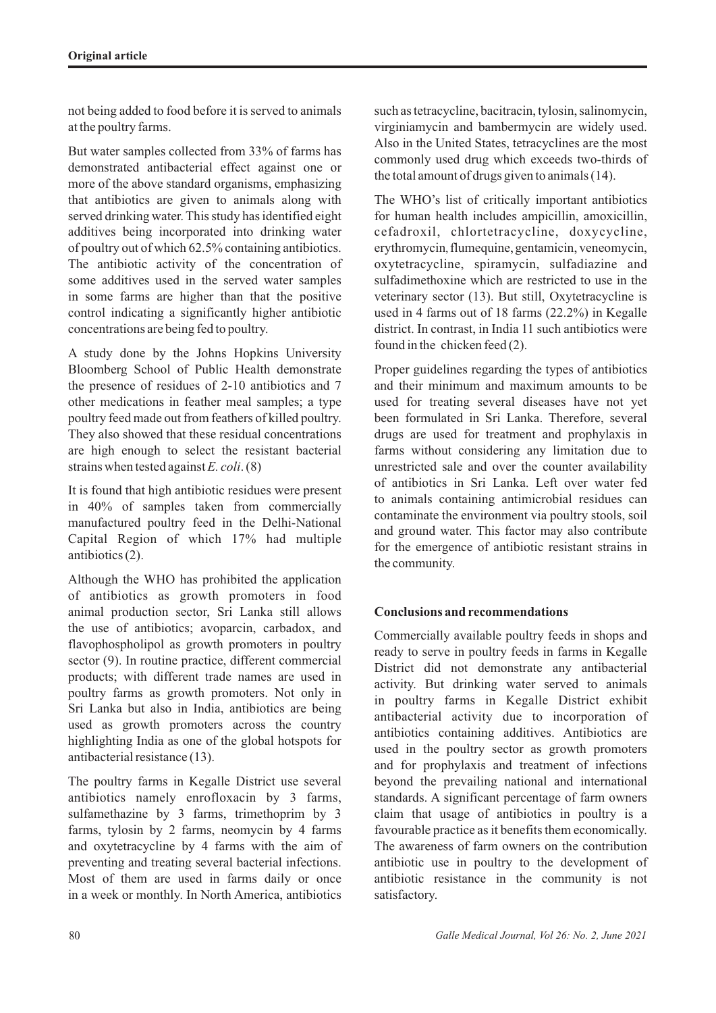not being added to food before it is served to animals at the poultry farms.

But water samples collected from 33% of farms has demonstrated antibacterial effect against one or more of the above standard organisms, emphasizing that antibiotics are given to animals along with served drinking water. This study has identified eight additives being incorporated into drinking water of poultry out of which 62.5% containing antibiotics. The antibiotic activity of the concentration of some additives used in the served water samples in some farms are higher than that the positive control indicating a significantly higher antibiotic concentrations are being fed to poultry.

A study done by the Johns Hopkins University Bloomberg School of Public Health demonstrate the presence of residues of 2-10 antibiotics and 7 other medications in feather meal samples; a type poultry feed made out from feathers of killed poultry. They also showed that these residual concentrations are high enough to select the resistant bacterial strains when tested against *E. coli*. (8)

It is found that high antibiotic residues were present in 40% of samples taken from commercially manufactured poultry feed in the Delhi-National Capital Region of which 17% had multiple antibiotics (2).

Although the WHO has prohibited the application of antibiotics as growth promoters in food animal production sector, Sri Lanka still allows the use of antibiotics; avoparcin, carbadox, and flavophospholipol as growth promoters in poultry sector (9). In routine practice, different commercial products; with different trade names are used in poultry farms as growth promoters. Not only in Sri Lanka but also in India, antibiotics are being used as growth promoters across the country highlighting India as one of the global hotspots for antibacterial resistance (13).

The poultry farms in Kegalle District use several antibiotics namely enrofloxacin by 3 farms, sulfamethazine by 3 farms, trimethoprim by 3 farms, tylosin by 2 farms, neomycin by 4 farms and oxytetracycline by 4 farms with the aim of preventing and treating several bacterial infections. Most of them are used in farms daily or once in a week or monthly. In North America, antibiotics such as tetracycline, bacitracin, tylosin, salinomycin, virginiamycin and bambermycin are widely used. Also in the United States, tetracyclines are the most commonly used drug which exceeds two-thirds of the total amount of drugs given to animals (14).

The WHO's list of critically important antibiotics for human health includes ampicillin, amoxicillin, cefadroxil, chlortetracycline, doxycycline, erythromycin, flumequine, gentamicin, veneomycin, oxytetracycline, spiramycin, sulfadiazine and sulfadimethoxine which are restricted to use in the veterinary sector (13). But still, Oxytetracycline is used in 4 farms out of 18 farms (22.2%) in Kegalle district. In contrast, in India 11 such antibiotics were found in the chicken feed (2).

Proper guidelines regarding the types of antibiotics and their minimum and maximum amounts to be used for treating several diseases have not yet been formulated in Sri Lanka. Therefore, several drugs are used for treatment and prophylaxis in farms without considering any limitation due to unrestricted sale and over the counter availability of antibiotics in Sri Lanka. Left over water fed to animals containing antimicrobial residues can contaminate the environment via poultry stools, soil and ground water. This factor may also contribute for the emergence of antibiotic resistant strains in the community.

# **Conclusions and recommendations**

Commercially available poultry feeds in shops and ready to serve in poultry feeds in farms in Kegalle District did not demonstrate any antibacterial activity. But drinking water served to animals in poultry farms in Kegalle District exhibit antibacterial activity due to incorporation of antibiotics containing additives. Antibiotics are used in the poultry sector as growth promoters and for prophylaxis and treatment of infections beyond the prevailing national and international standards. A significant percentage of farm owners claim that usage of antibiotics in poultry is a favourable practice as it benefits them economically. The awareness of farm owners on the contribution antibiotic use in poultry to the development of antibiotic resistance in the community is not satisfactory.